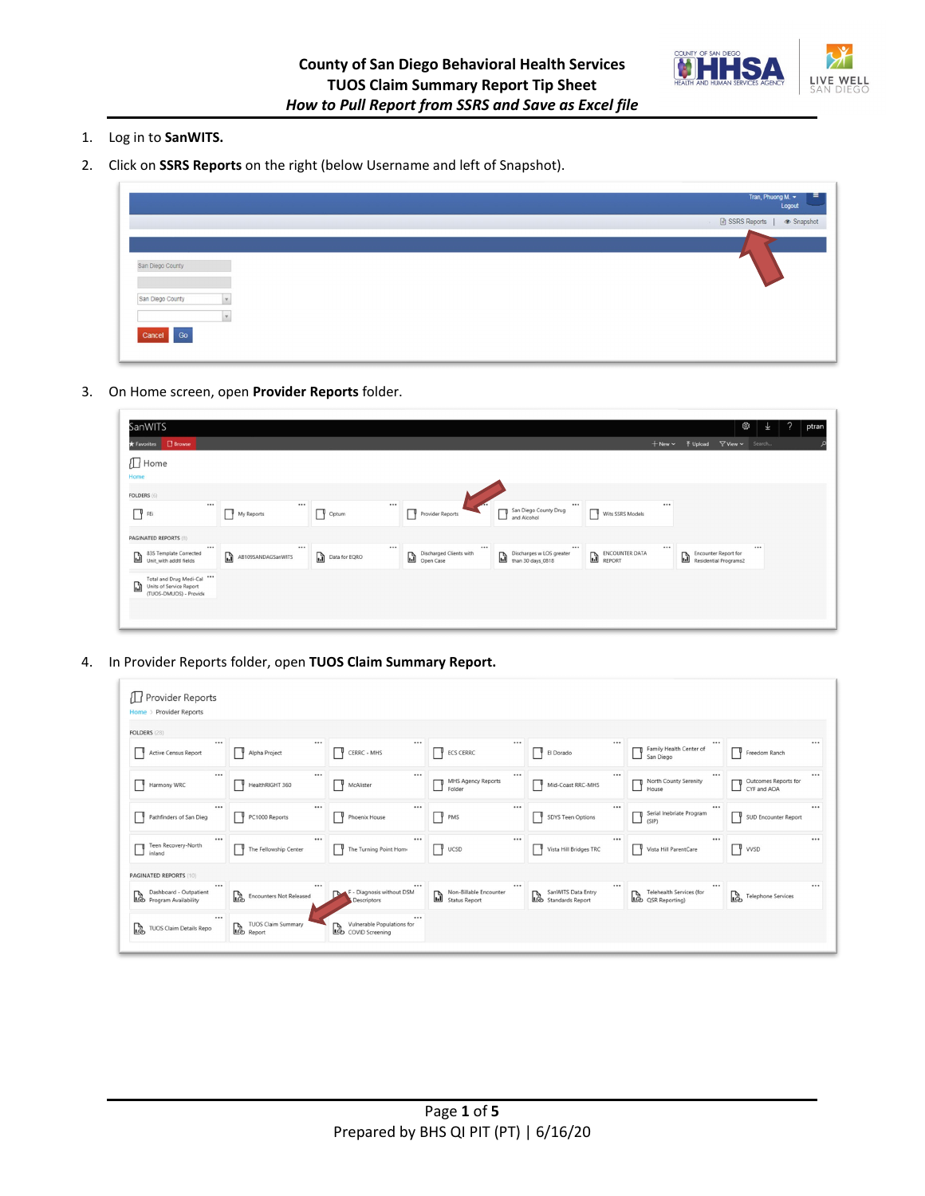

- 1. Log in to **SanWITS.**
- 2. Click on **SSRS Reports** on the right (below Username and left of Snapshot).

|                                      | н<br>Tran, Phuong M.<br>Logout        |
|--------------------------------------|---------------------------------------|
|                                      | · <b>■</b> SSRS Reports  <br>Snapshot |
|                                      |                                       |
| San Diego County                     |                                       |
| San Diego County<br>V<br>$\mathbf v$ |                                       |
| Cancel Go                            |                                       |

3. On Home screen, open **Provider Reports** folder.

| SanWITS<br>★ Favorites □ Browse                                                       |                              |                   |                                                  |                                                     |                            | + New v 予 Upload ▽ View v Search                  | బ్ర<br>业 | 2 | ptran |
|---------------------------------------------------------------------------------------|------------------------------|-------------------|--------------------------------------------------|-----------------------------------------------------|----------------------------|---------------------------------------------------|----------|---|-------|
| $\Box$ Home<br>Home                                                                   |                              |                   |                                                  |                                                     |                            |                                                   |          |   |       |
| <b>FOLDERS</b> (6)                                                                    |                              |                   |                                                  |                                                     |                            |                                                   |          |   |       |
| <br>$\Box$ FEi                                                                        | <br>My Reports               | <br>Optum         | Provider Reports                                 | <br>San Diego County Drug<br>and Alcohol            | Wits SSRS Models<br>-1 P v |                                                   |          |   |       |
| <b>PAGINATED REPORTS (8)</b>                                                          |                              |                   |                                                  |                                                     |                            |                                                   |          |   |       |
| $\cdots$<br>835 Template Corrected<br>d<br>Unit_with addtl fields                     | <br>r.<br>AB109SANDAGSanWITS | <br>Data for EQRO | $\cdots$<br>Discharged Clients with<br>Open Case | $$<br>Discharges w LOS greater<br>than 30 days_0818 | ENCOUNTER DATA             | <br>Encounter Report for<br>Residential Programs2 | $\cdots$ |   |       |
| Total and Drug Medi-Cal ***<br>G<br>Units of Service Report<br>(TUOS-DMUOS) - Provide |                              |                   |                                                  |                                                     |                            |                                                   |          |   |       |

4. In Provider Reports folder, open **TUOS Claim Summary Report.**

| Provider Reports<br>Home > Provider Reports        |                                               |                                                                           |                                             |                                            |                                                               |                                     |  |
|----------------------------------------------------|-----------------------------------------------|---------------------------------------------------------------------------|---------------------------------------------|--------------------------------------------|---------------------------------------------------------------|-------------------------------------|--|
| FOLDERS (28)                                       |                                               |                                                                           |                                             |                                            |                                                               |                                     |  |
| <br>Active Census Report                           | <br>Alpha Project                             | <br>CERRC - MHS                                                           | <br>ECS CERRC                               | El Dorado                                  | <br><br>Family Health Center of<br>San Diego                  | Freedom Ranch                       |  |
| <br>Harmony WRC                                    | <br>HealthRIGHT 360                           | $\cdots$<br>McAlister                                                     | <br>MHS Agency Reports<br>Folder            | Mid-Coast RRC-MHS                          | <br><br>North County Serenity<br>House                        | Outcomes Reports for<br>CYF and AOA |  |
| <br>Pathfinders of San Dieg                        | <br>PC1000 Reports                            | <br><b>Phoenix House</b>                                                  | <br>PMS                                     | 1 Y<br>SDYS Teen Options                   | <br><br>Serial Inebriate Program<br>$\Box$ Seria              | ாடி.<br>SUD Encounter Report        |  |
| <br>Teen Recovery-North<br>inland                  | $\cdots$<br>The Fellowship Center             | <br>The Turning Point Home                                                | <br>V UCSD                                  | Vista Hill Bridges TRC<br>IΥ               | <br><br>Vista Hill ParentCare                                 | $ $ WSD                             |  |
| <b>PAGINATED REPORTS (10)</b>                      |                                               |                                                                           |                                             |                                            |                                                               |                                     |  |
| <br>Dashboard - Outpatient<br>Dashboard - Outpatie | <br>rò<br><b>Encounters Not Released</b>      | <br>F - Diagnosis without DSM<br><b>Descriptors</b>                       | <br>Non-Billable Encounter<br>Status Report | SanWITS Data Entry<br>Les Standards Report | <br><br><b>Telehealth Services (for</b><br>Telehealth Service | rà.<br><b>Telephone Services</b>    |  |
| <br>TUOS Claim Details Repo                        | <b>TUOS Claim Summary</b><br><b>LO</b> TUOS C | <br>Vulnerable Populations for<br>Vulnerable Popula<br>Lo COVID Screening |                                             |                                            |                                                               |                                     |  |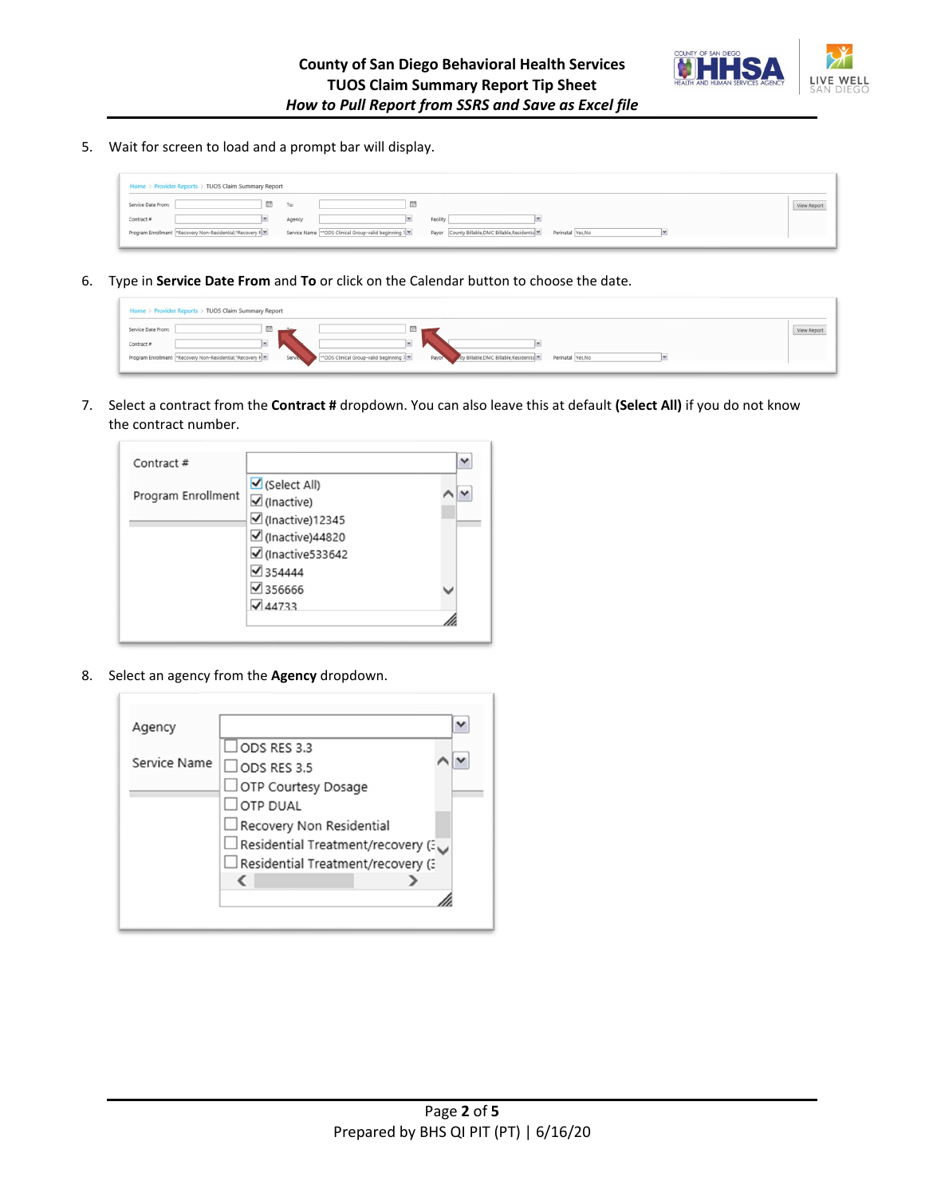

5. Wait for screen to load and a prompt bar will display.

| Home > Provider Reports > TUOS Claim Summary Report       |                                                        |                                                                      |             |
|-----------------------------------------------------------|--------------------------------------------------------|----------------------------------------------------------------------|-------------|
| Service Date From:<br><b>UII</b> <sup>1</sup>             | To:<br><b>Service</b>                                  |                                                                      | View Report |
| Contract #                                                | Agency                                                 | Facility                                                             |             |
| Program Enrollment  *Recovery Non-Residential,*Recovery F | Service Name ** ODS Clinical Group-valid beginning 7 M | Payor County Billable, DMC Billable, Residentia<br>Perinatal Yes, No |             |

6. Type in **Service Date From** and **To** or click on the Calendar button to choose the date.

| Home > Provider Reports > TUOS Claim Summary Report       |                                                                                                                                            |             |
|-----------------------------------------------------------|--------------------------------------------------------------------------------------------------------------------------------------------|-------------|
| Service Date From:<br><b>CELL</b>                         | 茴<br>$T_{\text{est}}$                                                                                                                      | View Report |
| $-1$<br>Contract #                                        |                                                                                                                                            |             |
| Program Enrollment  *Recovery Non-Residential,*Recovery F | Service<br>*** ODS Clinical Group-valid beginning 7 M<br>Mty Billable, DMC Billable, Residentia<br>Perinatal Yes, No<br>Payor <sup>3</sup> |             |
|                                                           |                                                                                                                                            |             |

7. Select a contract from the **Contract #** dropdown. You can also leave this at default **(Select All)** if you do not know the contract number.

| Contract#          |                                                                                          |  |
|--------------------|------------------------------------------------------------------------------------------|--|
| Program Enrollment | $\triangledown$ (Select All)<br>$\overline{\mathcal{L}}$ (Inactive)<br>☑ (Inactive)12345 |  |
|                    | $\boxtimes$ (Inactive)44820<br>☑ (Inactive533642                                         |  |
|                    | $\sqrt{354444}$                                                                          |  |
|                    | $\sqrt{356666}$<br>$\sqrt{44733}$                                                        |  |
|                    |                                                                                          |  |

8. Select an agency from the **Agency** dropdown.

| Agency       |                                    |  |
|--------------|------------------------------------|--|
|              | $\Box$ ODS RES 3.3                 |  |
| Service Name | $\Box$ ODS RES 3.5                 |  |
|              | OTP Courtesy Dosage                |  |
|              | $\Box$ OTP DUAL                    |  |
|              | Recovery Non Residential           |  |
|              | Residential Treatment/recovery (3) |  |
|              | Residential Treatment/recovery (3) |  |
|              |                                    |  |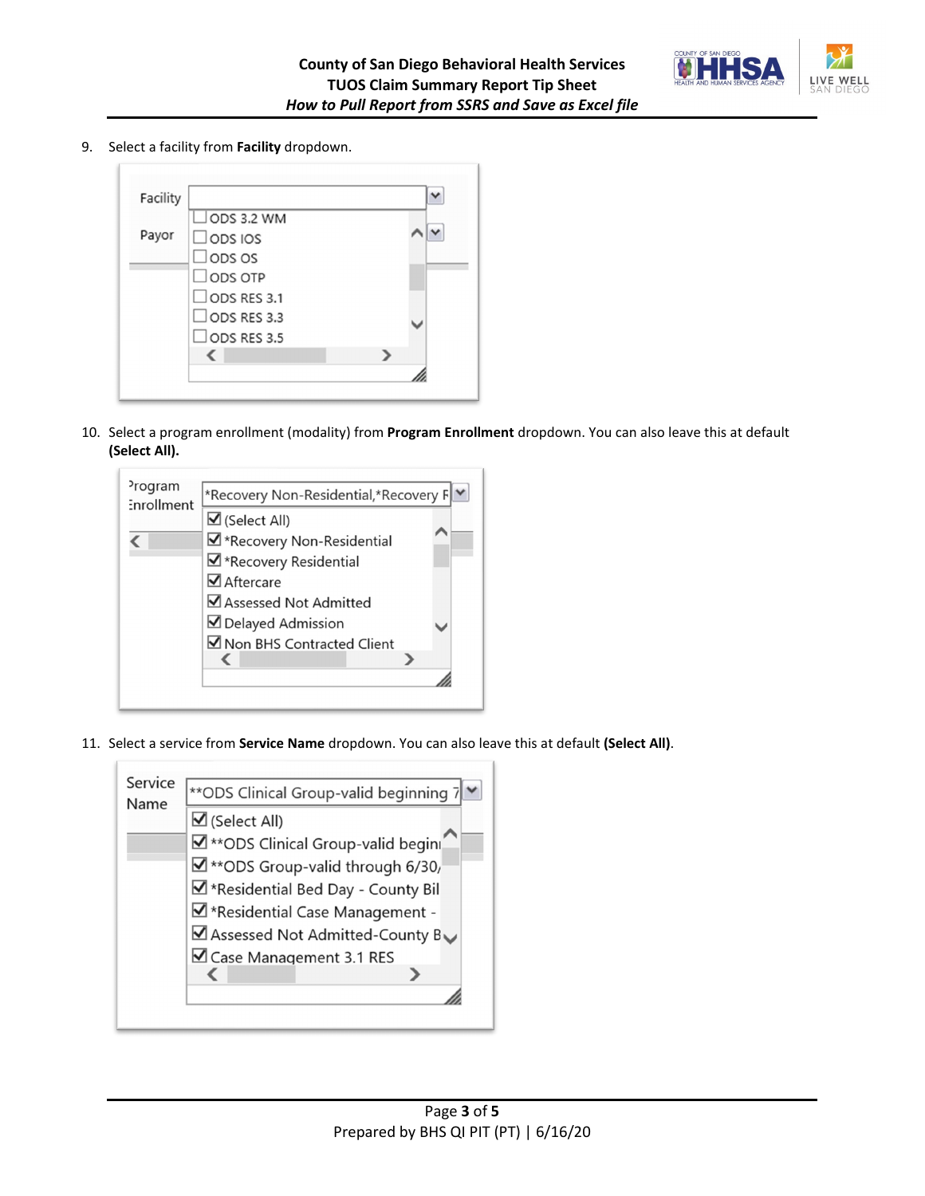

9. Select a facility from **Facility** dropdown.



10. Select a program enrollment (modality) from **Program Enrollment** dropdown. You can also leave this at default **(Select All).**

| <sup>2</sup> rogram<br><b>Enrollment</b> | *Recovery Non-Residential,*Recovery F |
|------------------------------------------|---------------------------------------|
|                                          | $\mathbf{\nabla}$ (Select All)        |
|                                          | ■ *Recovery Non-Residential           |
|                                          | ■ *Recovery Residential               |
|                                          | $\Box$ Aftercare                      |
|                                          | Assessed Not Admitted                 |
|                                          | ■ Delayed Admission                   |
|                                          | ■ Non BHS Contracted Client           |
|                                          |                                       |
|                                          |                                       |
|                                          |                                       |

11. Select a service from **Service Name** dropdown. You can also leave this at default **(Select All)**.

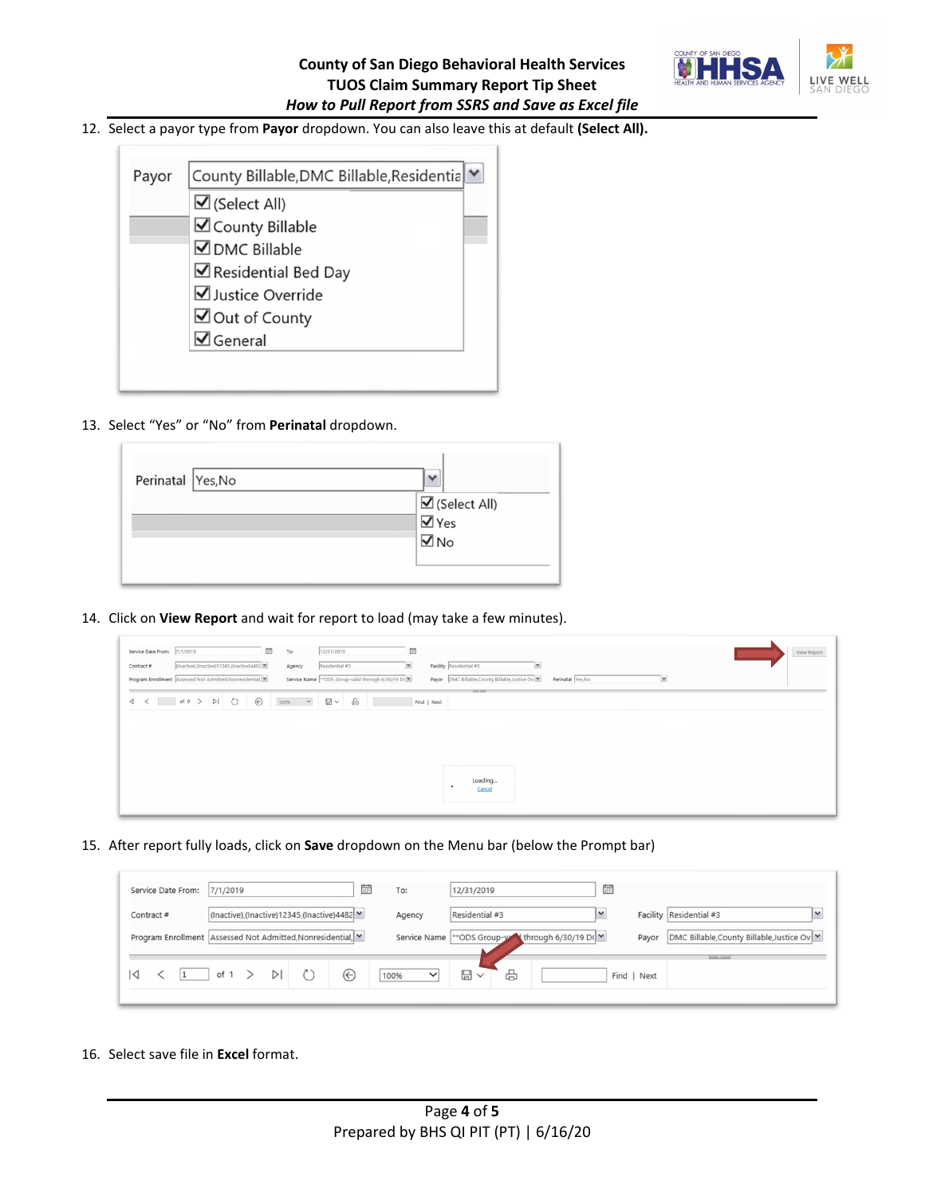

## 12. Select a payor type from **Payor** dropdown. You can also leave this at default **(Select All).**

| Payor | County Billable, DMC Billable, Residentia |  |  |  |  |  |  |
|-------|-------------------------------------------|--|--|--|--|--|--|
|       | $\triangledown$ (Select All)              |  |  |  |  |  |  |
|       | ☑ County Billable                         |  |  |  |  |  |  |
|       | $\nabla$ DMC Billable                     |  |  |  |  |  |  |
|       | Residential Bed Day                       |  |  |  |  |  |  |
|       | Justice Override                          |  |  |  |  |  |  |
|       | ◘ Out of County                           |  |  |  |  |  |  |
|       | $\overline{\mathbf{y}}$ General           |  |  |  |  |  |  |

13. Select "Yes" or "No" from **Perinatal** dropdown.

| Perinatal Yes, No |                                                                     |
|-------------------|---------------------------------------------------------------------|
|                   | $\overline{\mathsf{M}}$ (Select All)<br>$\overline{\mathsf{M}}$ Yes |
|                   | $\overline{\blacksquare}$ No                                        |
|                   |                                                                     |

14. Click on **View Report** and wait for report to load (may take a few minutes).

| Service Date From: 7/1/2019<br>Contract #<br>Program Enrollment Assessed Not Admitted, Nonresidential, M |  |  | 茴<br>(Inactive),(Inactive)12345,(Inactive)4482 | To: | Agency        | 12/31/2019<br>Residential #3 | 量<br>$\check{ }$<br>Service Name ** ODS Group-valid through 6/30/19 D(M) |             | Facility Residential #3<br>$\check{ }$<br>Payor DMC Billable, County Billable, Justice Ov | Perinatal Yes, No |  | × |  | View Report |
|----------------------------------------------------------------------------------------------------------|--|--|------------------------------------------------|-----|---------------|------------------------------|--------------------------------------------------------------------------|-------------|-------------------------------------------------------------------------------------------|-------------------|--|---|--|-------------|
|                                                                                                          |  |  |                                                |     | $100%$ $\vee$ | $B - B$                      |                                                                          | Find   Next | <b>Service Service</b>                                                                    |                   |  |   |  |             |
|                                                                                                          |  |  |                                                |     |               |                              |                                                                          |             | Loading<br>Cancel                                                                         |                   |  |   |  |             |

15. After report fully loads, click on **Save** dropdown on the Menu bar (below the Prompt bar)

| 扁<br>Service Date From:<br>7/1/2019                         | To:                  | 扁<br>12/31/2019                                                                                             |
|-------------------------------------------------------------|----------------------|-------------------------------------------------------------------------------------------------------------|
| (Inactive),(Inactive)12345,(Inactive)4482<br>Contract#      | Agency               | Facility Residential #3<br>Residential #3<br>$\checkmark$                                                   |
| Program Enrollment Assessed Not Admitted, Nonresidential, M |                      | Service Name ** ODS Group-y through 6/30/19 D(V)<br> DMC Billable, County Billable, Justice Ov   V<br>Payor |
| $\odot$<br>$\triangleright$<br>of $1$ ><br>◁<br>$\vert$ 1   | 100%<br>$\checkmark$ | <b>STATISTICS</b><br>₩<br>$\boxplus$<br>Find   Next                                                         |
|                                                             |                      |                                                                                                             |

16. Select save file in **Excel** format.